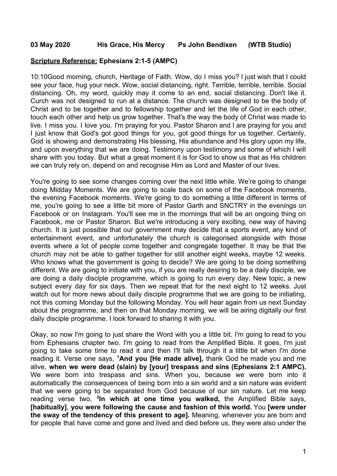## **Scripture Reference: Ephesians 2:1-5 (AMPC)**

10:10Good morning, church, Heritage of Faith. Wow, do I miss you? I just wish that I could see your face, hug your neck. Wow, social distancing, right. Terrible, terrible, terrible. Social distancing. Oh, my word, quickly may it come to an end, social distancing. Don't like it. Curch was not designed to run at a distance. The church was designed to be the body of Christ and to be together and to fellowship together and let the life of God in each other, touch each other and help us grow together. That's the way the body of Christ was made to live. I miss you. I love you. I'm praying for you. Pastor Sharon and I are praying for you and I just know that God's got good things for you, got good things for us together. Certainly, God is showing and demonstrating His blessing, His abundance and His glory upon my life, and upon everything that we are doing. Testimony upon testimony and some of which I will share with you today. But what a great moment it is for God to show us that as His children we can truly rely on, depend on and recognise Him as Lord and Master of our lives.

You're going to see some changes coming over the next little while. We're going to change doing Midday Moments. We are going to scale back on some of the Facebook moments, the evening Facebook moments. We're going to do something a little different in terms of me, you're going to see a little bit more of Pastor Garth and SNCTRY in the evenings on Facebook or on Instagram. You'll see me in the mornings that will be an ongoing thing on Facebook, me or Pastor Sharon. But we're introducing a very exciting, new way of having church. It is just possible that our government may decide that a sports event, any kind of entertainment event, and unfortunately the church is categorised alongside with those events where a lot of people come together and congregate together. It may be that the church may not be able to gather together for still another eight weeks, maybe 12 weeks. Who knows what the government is going to decide? We are going to be doing something different. We are going to initiate with you, if you are really desiring to be a daily disciple, we are doing a daily disciple programme, which is going to run every day. New topic, a new subject every day for six days. Then we repeat that for the next eight to 12 weeks. Just watch out for more news about daily disciple programme that we are going to be initiating, not this coming Monday but the following Monday. You will hear again from us next Sunday about the programme, and then on that Monday morning, we will be airing digitally our first daily disciple programme. I look forward to sharing it with you.

Okay, so now I'm going to just share the Word with you a little bit. I'm going to read to you from Ephesians chapter two. I'm going to read from the Amplified Bible. It goes, I'm just going to take some time to read it and then I'll talk through it a little bit when I'm done reading it. Verse one says, **<sup>1</sup>And you [He made alive],** thank God he made you and me alive, **when we were dead (slain) by [your] trespass and sins (Ephesians 2:1 AMPC).** We were born into trespass and sins. When you, because we were born into it automatically the consequences of being born into a sin world and a sin nature was evident that we were going to be separated from God because of our sin nature. Let me keep reading verse two, **<sup>2</sup> In which at one time you walked,** the Amplified Bible says, **[habitually]**, **you were following the cause and fashion of this world.** You **[were under the sway of the tendency of this present to age].** Meaning, whenever you are born and for people that have come and gone and lived and died before us, they were also under the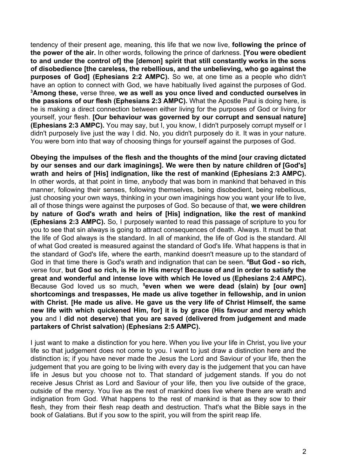tendency of their present age, meaning, this life that we now live, **following the prince of the power of the air.** In other words, following the prince of darkness. **[You were obedient to and under the control of] the [demon] spirit that still constantly works in the sons of disobedience [the careless, the rebellious, and the unbelieving, who go against the purposes of God] (Ephesians 2:2 AMPC).** So we, at one time as a people who didn't have an option to connect with God, we have habitually lived against the purposes of God. **<sup>3</sup>Among these,** verse three, **we as well as you once lived and conducted ourselves in the passions of our flesh (Ephesians 2:3 AMPC).** What the Apostle Paul is doing here, is he is making a direct connection between either living for the purposes of God or living for yourself, your flesh. **[Our behaviour was governed by our corrupt and sensual nature] (Ephesians 2:3 AMPC).** You may say, but I, you know, I didn't purposely corrupt myself or I didn't purposely live just the way I did. No, you didn't purposely do it. It was in your nature. You were born into that way of choosing things for yourself against the purposes of God.

**Obeying the impulses of the flesh and the thoughts of the mind [our craving dictated by our senses and our dark imaginings]. We were then by nature children of [God's] wrath and heirs of [His] indignation, like the rest of mankind (Ephesians 2:3 AMPC).** In other words, at that point in time, anybody that was born in mankind that behaved in this manner, following their senses, following themselves, being disobedient, being rebellious, just choosing your own ways, thinking in your own imaginings how you want your life to live, all of those things were against the purposes of God. So because of that, **we were children by nature of God's wrath and heirs of [His] indignation, like the rest of mankind (Ephesians 2:3 AMPC).** So, I purposely wanted to read this passage of scripture to you for you to see that sin always is going to attract consequences of death. Always. It must be that the life of God always is the standard. In all of mankind, the life of God is the standard. All of what God created is measured against the standard of God's life. What happens is that in the standard of God's life, where the earth, mankind doesn't measure up to the standard of God in that time there is God's wrath and indignation that can be seen. **<sup>4</sup>But God - so rich,** verse four, **but God so rich, is He in His mercy! Because of and in order to satisfy the great and wonderful and intense love with which He loved us (Ephesians 2:4 AMPC).** Because God loved us so much, **<sup>5</sup>even when we were dead (slain) by [our own] shortcomings and trespasses, He made us alive together in fellowship, and in union with Christ. [He made us alive. He gave us the very life of Christ Himself, the same new life with which quickened Him, for] it is by grace (His favour and mercy which you** and I **did not deserve) that you are saved (delivered from judgement and made partakers of Christ salvation) (Ephesians 2:5 AMPC).**

I just want to make a distinction for you here. When you live your life in Christ, you live your life so that judgement does not come to you. I want to just draw a distinction here and the distinction is; if you have never made the Jesus the Lord and Saviour of your life, then the judgement that you are going to be living with every day is the judgement that you can have life in Jesus but you choose not to. That standard of judgement stands. If you do not receive Jesus Christ as Lord and Saviour of your life, then you live outside of the grace, outside of the mercy. You live as the rest of mankind does live where there are wrath and indignation from God. What happens to the rest of mankind is that as they sow to their flesh, they from their flesh reap death and destruction. That's what the Bible says in the book of Galatians. But if you sow to the spirit, you will from the spirit reap life.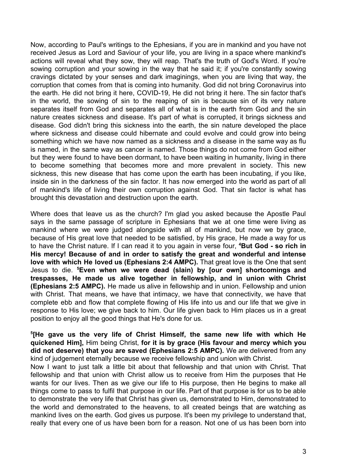Now, according to Paul's writings to the Ephesians, if you are in mankind and you have not received Jesus as Lord and Saviour of your life, you are living in a space where mankind's actions will reveal what they sow, they will reap. That's the truth of God's Word. If you're sowing corruption and your sowing in the way that he said it; if you're constantly sowing cravings dictated by your senses and dark imaginings, when you are living that way, the corruption that comes from that is coming into humanity. God did not bring Coronavirus into the earth. He did not bring it here, COVID-19, He did not bring it here. The sin factor that's in the world, the sowing of sin to the reaping of sin is because sin of its very nature separates itself from God and separates all of what is in the earth from God and the sin nature creates sickness and disease. It's part of what is corrupted, it brings sickness and disease. God didn't bring this sickness into the earth, the sin nature developed the place where sickness and disease could hibernate and could evolve and could grow into being something which we have now named as a sickness and a disease in the same way as flu is named, in the same way as cancer is named. Those things do not come from God either but they were found to have been dormant, to have been waiting in humanity, living in there to become something that becomes more and more prevalent in society. This new sickness, this new disease that has come upon the earth has been incubating, if you like, inside sin in the darkness of the sin factor. It has now emerged into the world as part of all of mankind's life of living their own corruption against God. That sin factor is what has brought this devastation and destruction upon the earth.

Where does that leave us as the church? I'm glad you asked because the Apostle Paul says in the same passage of scripture in Ephesians that we at one time were living as mankind where we were judged alongside with all of mankind, but now we by grace, because of His great love that needed to be satisfied, by His grace, He made a way for us to have the Christ nature. If I can read it to you again in verse four, **<sup>4</sup>But God - so rich in His mercy! Because of and in order to satisfy the great and wonderful and intense love with which He loved us (Ephesians 2:4 AMPC).** That great love is the One that sent Jesus to die. **<sup>5</sup>Even when we were dead (slain) by [our own] shortcomings and trespasses, He made us alive together in fellowship, and in union with Christ (Ephesians 2:5 AMPC).** He made us alive in fellowship and in union. Fellowship and union with Christ. That means, we have that intimacy, we have that connectivity, we have that complete ebb and flow that complete flowing of His life into us and our life that we give in response to His love; we give back to him. Our life given back to Him places us in a great position to enjoy all the good things that He's done for us.

**5 [He gave us the very life of Christ Himself, the same new life with which He quickened Him],** Him being Christ, **for it is by grace (His favour and mercy which you did not deserve) that you are saved (Ephesians 2:5 AMPC).** We are delivered from any kind of judgement eternally because we receive fellowship and union with Christ.

Now I want to just talk a little bit about that fellowship and that union with Christ. That fellowship and that union with Christ allow us to receive from Him the purposes that He wants for our lives. Then as we give our life to His purpose, then He begins to make all things come to pass to fulfil that purpose in our life. Part of that purpose is for us to be able to demonstrate the very life that Christ has given us, demonstrated to Him, demonstrated to the world and demonstrated to the heavens, to all created beings that are watching as mankind lives on the earth. God gives us purpose. It's been my privilege to understand that, really that every one of us have been born for a reason. Not one of us has been born into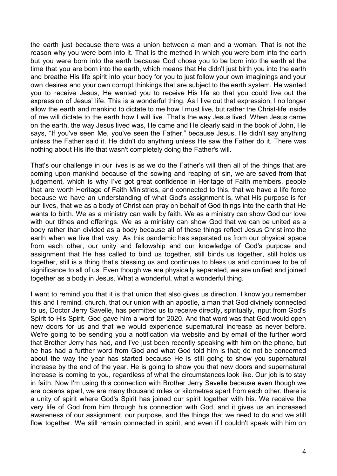the earth just because there was a union between a man and a woman. That is not the reason why you were born into it. That is the method in which you were born into the earth but you were born into the earth because God chose you to be born into the earth at the time that you are born into the earth, which means that He didn't just birth you into the earth and breathe His life spirit into your body for you to just follow your own imaginings and your own desires and your own corrupt thinkings that are subject to the earth system. He wanted you to receive Jesus, He wanted you to receive His life so that you could live out the expression of Jesus' life. This is a wonderful thing. As I live out that expression, I no longer allow the earth and mankind to dictate to me how I must live, but rather the Christ-life inside of me will dictate to the earth how I will live. That's the way Jesus lived. When Jesus came on the earth, the way Jesus lived was, He came and He clearly said in the book of John, He says, "If you've seen Me, you've seen the Father," because Jesus, He didn't say anything unless the Father said it. He didn't do anything unless He saw the Father do it. There was nothing about His life that wasn't completely doing the Father's will.

That's our challenge in our lives is as we do the Father's will then all of the things that are coming upon mankind because of the sowing and reaping of sin, we are saved from that judgement, which is why I've got great confidence in Heritage of Faith members, people that are worth Heritage of Faith Ministries, and connected to this, that we have a life force because we have an understanding of what God's assignment is, what His purpose is for our lives, that we as a body of Christ can pray on behalf of God things into the earth that He wants to birth. We as a ministry can walk by faith. We as a ministry can show God our love with our tithes and offerings. We as a ministry can show God that we can be united as a body rather than divided as a body because all of these things reflect Jesus Christ into the earth when we live that way. As this pandemic has separated us from our physical space from each other, our unity and fellowship and our knowledge of God's purpose and assignment that He has called to bind us together, still binds us together, still holds us together, still is a thing that's blessing us and continues to bless us and continues to be of significance to all of us. Even though we are physically separated, we are unified and joined together as a body in Jesus. What a wonderful, what a wonderful thing.

I want to remind you that it is that union that also gives us direction. I know you remember this and I remind, church, that our union with an apostle, a man that God divinely connected to us, Doctor Jerry Savelle, has permitted us to receive directly, spiritually, input from God's Spirit to His Spirit. God gave him a word for 2020. And that word was that God would open new doors for us and that we would experience supernatural increase as never before. We're going to be sending you a notification via website and by email of the further word that Brother Jerry has had, and I've just been recently speaking with him on the phone, but he has had a further word from God and what God told him is that; do not be concerned about the way the year has started because He is still going to show you supernatural increase by the end of the year. He is going to show you that new doors and supernatural increase is coming to you, regardless of what the circumstances look like. Our job is to stay in faith. Now I'm using this connection with Brother Jerry Savelle because even though we are oceans apart, we are many thousand miles or kilometres apart from each other, there is a unity of spirit where God's Spirit has joined our spirit together with his. We receive the very life of God from him through his connection with God, and it gives us an increased awareness of our assignment, our purpose, and the things that we need to do and we still flow together. We still remain connected in spirit, and even if I couldn't speak with him on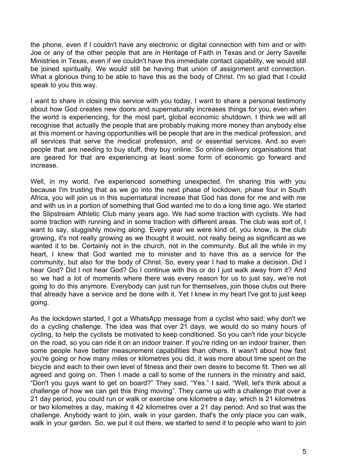the phone, even if I couldn't have any electronic or digital connection with him and or with Joe or any of the other people that are in Heritage of Faith in Texas and or Jerry Savelle Ministries in Texas, even if we couldn't have this immediate contact capability, we would still be joined spiritually. We would still be having that union of assignment and connection. What a glorious thing to be able to have this as the body of Christ. I'm so glad that I could speak to you this way.

I want to share in closing this service with you today, I want to share a personal testimony about how God creates new doors and supernaturally increases things for you, even when the world is experiencing, for the most part, global economic shutdown. I think we will all recognise that actually the people that are probably making more money than anybody else at this moment or having opportunities will be people that are in the medical profession, and all services that serve the medical profession, and or essential services. And so even people that are needing to buy stuff, they buy online. So online delivery organisations that are geared for that are experiencing at least some form of economic go forward and increase.

Well, in my world, I've experienced something unexpected. I'm sharing this with you because I'm trusting that as we go into the next phase of lockdown, phase four in South Africa, you will join us in this supernatural increase that God has done for me and with me and with us in a portion of something that God wanted me to do a long time ago. We started the Slipstream Athletic Club many years ago. We had some traction with cyclists. We had some traction with running and in some traction with different areas. The club was sort of, I want to say, sluggishly moving along. Every year we were kind of, you know, is the club growing, it's not really growing as we thought it would, not really being as significant as we wanted it to be. Certainly not in the church, not in the community. But all the while in my heart, I knew that God wanted me to minister and to have this as a service for the community, but also for the body of Christ. So, every year I had to make a decision. Did I hear God? Did I not hear God? Do I continue with this or do I just walk away from it? And so we had a lot of moments where there was every reason for us to just say, we're not going to do this anymore. Everybody can just run for themselves, join those clubs out there that already have a service and be done with it. Yet I knew in my heart I've got to just keep going.

As the lockdown started, I got a WhatsApp message from a cyclist who said; why don't we do a cycling challenge. The idea was that over 21 days, we would do so many hours of cycling, to help the cyclists be motivated to keep conditioned. So you can't ride your bicycle on the road, so you can ride it on an indoor trainer. If you're riding on an indoor trainer, then some people have better measurement capabilities than others. It wasn't about how fast you're going or how many miles or kilometres you did, it was more about time spent on the bicycle and each to their own level of fitness and their own desire to become fit. Then we all agreed and going on. Then I made a call to some of the runners in the ministry and said, "Don't you guys want to get on board?" They said, "Yes." I said, "Well, let's think about a challenge of how we can get this thing moving". They came up with a challenge that over a 21 day period, you could run or walk or exercise one kilometre a day, which is 21 kilometres or two kilometres a day, making it 42 kilometres over a 21 day period. And so that was the challenge. Anybody want to join, walk in your garden, that's the only place you can walk, walk in your garden. So, we put it out there, we started to send it to people who want to join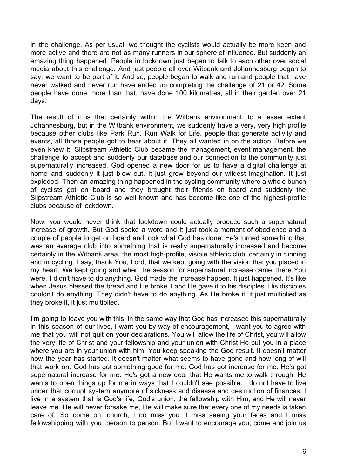in the challenge. As per usual, we thought the cyclists would actually be more keen and more active and there are not as many runners in our sphere of influence. But suddenly an amazing thing happened. People in lockdown just began to talk to each other over social media about this challenge. And just people all over Witbank and Johannesburg began to say; we want to be part of it. And so, people began to walk and run and people that have never walked and never run have ended up completing the challenge of 21 or 42. Some people have done more than that, have done 100 kilometres, all in their garden over 21 days.

The result of it is that certainly within the Witbank environment, to a lesser extent Johannesburg, but in the Witbank environment, we suddenly have a very, very high profile because other clubs like Park Run, Run Walk for Life, people that generate activity and events, all those people got to hear about it. They all wanted in on the action. Before we even knew it, Slipstream Athletic Club became the management, event management, the challenge to accept and suddenly our database and our connection to the community just supernaturally increased. God opened a new door for us to have a digital challenge at home and suddenly it just blew out. It just grew beyond our wildest imagination. It just exploded. Then an amazing thing happened in the cycling community where a whole bunch of cyclists got on board and they brought their friends on board and suddenly the Slipstream Athletic Club is so well known and has become like one of the highest-profile clubs because of lockdown.

Now, you would never think that lockdown could actually produce such a supernatural increase of growth. But God spoke a word and it just took a moment of obedience and a couple of people to get on board and look what God has done. He's turned something that was an average club into something that is really supernaturally increased and become certainly in the Witbank area, the most high-profile, visible athletic club, certainly in running and in cycling. I say, thank You, Lord, that we kept going with the vision that you placed in my heart. We kept going and when the season for supernatural increase came, there You were. I didn't have to do anything. God made the increase happen. It just happened. It's like when Jesus blessed the bread and He broke it and He gave it to his disciples. His disciples couldn't do anything. They didn't have to do anything. As He broke it, it just multiplied as they broke it, it just multiplied.

I'm going to leave you with this; in the same way that God has increased this supernaturally in this season of our lives, I want you by way of encouragement, I want you to agree with me that you will not quit on your declarations. You will allow the life of Christ, you will allow the very life of Christ and your fellowship and your union with Christ Ho put you in a place where you are in your union with him. You keep speaking the God result. It doesn't matter how the year has started. It doesn't matter what seems to have gone and how long of will that work on. God has got something good for me. God has got increase for me. He's got supernatural increase for me. He's got a new door that He wants me to walk through. He wants to open things up for me in ways that I couldn't see possible. I do not have to live under that corrupt system anymore of sickness and disease and destruction of finances. I live in a system that is God's life, God's union, the fellowship with Him, and He will never leave me. He will never forsake me, He will make sure that every one of my needs is taken care of. So come on, church, I do miss you. I miss seeing your faces and I miss fellowshipping with you, person to person. But I want to encourage you; come and join us